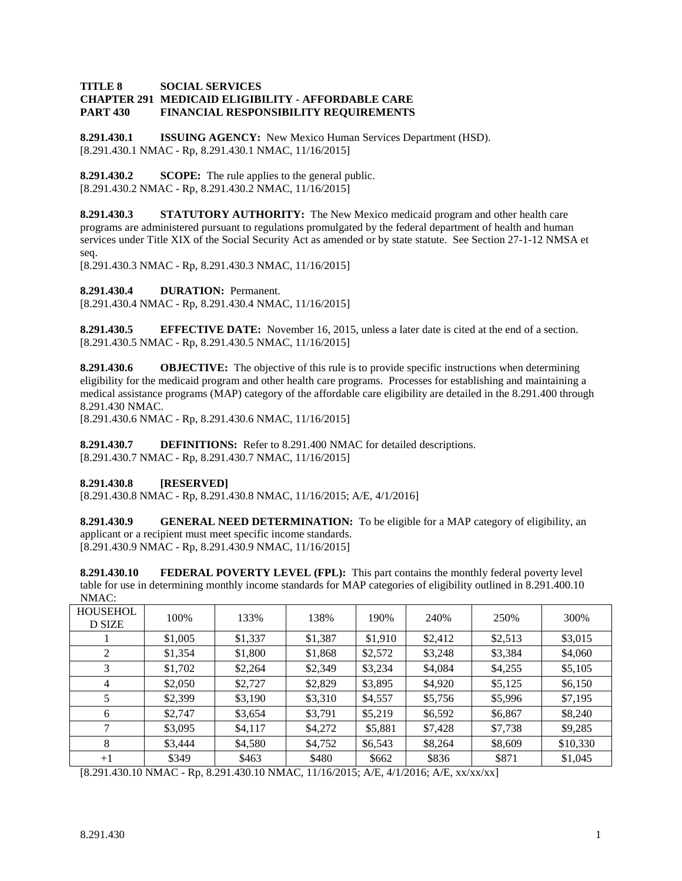### **TITLE 8 SOCIAL SERVICES CHAPTER 291 MEDICAID ELIGIBILITY - AFFORDABLE CARE PART 430 FINANCIAL RESPONSIBILITY REQUIREMENTS**

**8.291.430.1 ISSUING AGENCY:** New Mexico Human Services Department (HSD). [8.291.430.1 NMAC - Rp, 8.291.430.1 NMAC, 11/16/2015]

**8.291.430.2 SCOPE:** The rule applies to the general public. [8.291.430.2 NMAC - Rp, 8.291.430.2 NMAC, 11/16/2015]

**8.291.430.3 STATUTORY AUTHORITY:** The New Mexico medicaid program and other health care programs are administered pursuant to regulations promulgated by the federal department of health and human services under Title XIX of the Social Security Act as amended or by state statute. See Section 27-1-12 NMSA et seq.

[8.291.430.3 NMAC - Rp, 8.291.430.3 NMAC, 11/16/2015]

**8.291.430.4 DURATION:** Permanent.

[8.291.430.4 NMAC - Rp, 8.291.430.4 NMAC, 11/16/2015]

**8.291.430.5 EFFECTIVE DATE:** November 16, 2015, unless a later date is cited at the end of a section. [8.291.430.5 NMAC - Rp, 8.291.430.5 NMAC, 11/16/2015]

**8.291.430.6 OBJECTIVE:** The objective of this rule is to provide specific instructions when determining eligibility for the medicaid program and other health care programs. Processes for establishing and maintaining a medical assistance programs (MAP) category of the affordable care eligibility are detailed in the 8.291.400 through 8.291.430 NMAC.

[8.291.430.6 NMAC - Rp, 8.291.430.6 NMAC, 11/16/2015]

**8.291.430.7 DEFINITIONS:** Refer to 8.291.400 NMAC for detailed descriptions. [8.291.430.7 NMAC - Rp, 8.291.430.7 NMAC, 11/16/2015]

## **8.291.430.8 [RESERVED]**

[8.291.430.8 NMAC - Rp, 8.291.430.8 NMAC, 11/16/2015; A/E, 4/1/2016]

**8.291.430.9 GENERAL NEED DETERMINATION:** To be eligible for a MAP category of eligibility, an applicant or a recipient must meet specific income standards. [8.291.430.9 NMAC - Rp, 8.291.430.9 NMAC, 11/16/2015]

**8.291.430.10 FEDERAL POVERTY LEVEL (FPL):** This part contains the monthly federal poverty level table for use in determining monthly income standards for MAP categories of eligibility outlined in 8.291.400.10  $NMAC$ 

| <b>HOUSEHOL</b><br><b>D SIZE</b> | 100%    | 133%    | 138%    | 190%    | 240%    | 250%    | 300%     |
|----------------------------------|---------|---------|---------|---------|---------|---------|----------|
|                                  | \$1,005 | \$1,337 | \$1,387 | \$1,910 | \$2,412 | \$2,513 | \$3,015  |
| 2                                | \$1,354 | \$1,800 | \$1,868 | \$2,572 | \$3,248 | \$3,384 | \$4,060  |
| 3                                | \$1,702 | \$2,264 | \$2,349 | \$3,234 | \$4,084 | \$4,255 | \$5,105  |
| 4                                | \$2,050 | \$2,727 | \$2,829 | \$3,895 | \$4,920 | \$5,125 | \$6,150  |
|                                  | \$2,399 | \$3,190 | \$3,310 | \$4,557 | \$5,756 | \$5,996 | \$7,195  |
| 6                                | \$2,747 | \$3,654 | \$3,791 | \$5,219 | \$6,592 | \$6,867 | \$8,240  |
| 7                                | \$3,095 | \$4,117 | \$4,272 | \$5,881 | \$7,428 | \$7,738 | \$9,285  |
| 8                                | \$3,444 | \$4,580 | \$4,752 | \$6,543 | \$8,264 | \$8,609 | \$10,330 |
| $+1$                             | \$349   | \$463   | \$480   | \$662   | \$836   | \$871   | \$1,045  |

[8.291.430.10 NMAC - Rp, 8.291.430.10 NMAC, 11/16/2015; A/E, 4/1/2016; A/E, xx/xx/xx]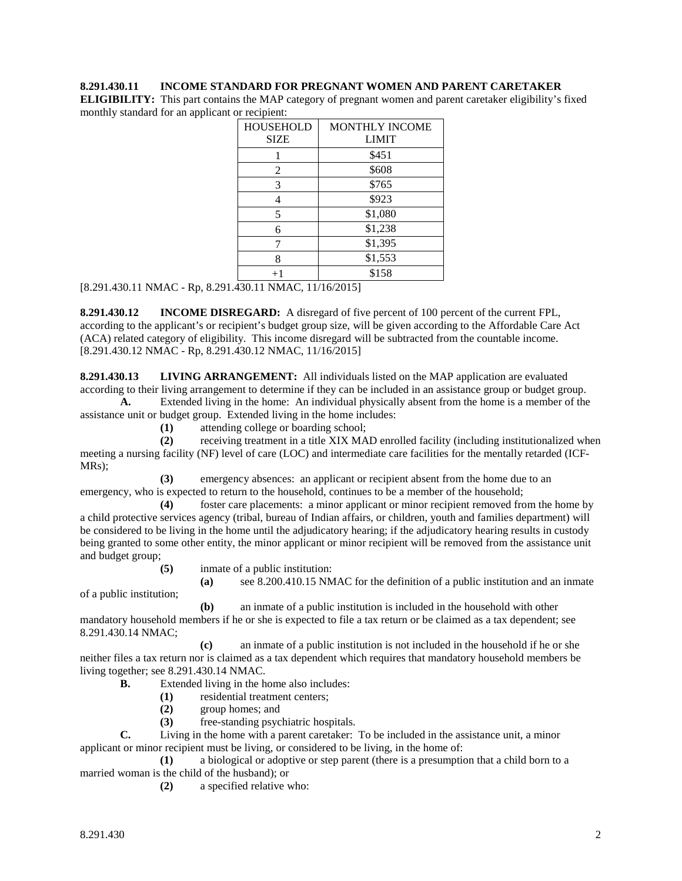### **8.291.430.11 INCOME STANDARD FOR PREGNANT WOMEN AND PARENT CARETAKER**

**ELIGIBILITY:** This part contains the MAP category of pregnant women and parent caretaker eligibility's fixed monthly standard for an applicant or recipient:

| <b>HOUSEHOLD</b><br><b>SIZE</b> | <b>MONTHLY INCOME</b><br><b>LIMIT</b> |  |  |  |  |
|---------------------------------|---------------------------------------|--|--|--|--|
|                                 | \$451                                 |  |  |  |  |
| 2                               | \$608                                 |  |  |  |  |
| 3                               | \$765                                 |  |  |  |  |
| 4                               | \$923                                 |  |  |  |  |
| 5                               | \$1,080                               |  |  |  |  |
| 6                               | \$1,238                               |  |  |  |  |
|                                 | \$1,395                               |  |  |  |  |
| 8                               | \$1,553                               |  |  |  |  |
| $+1$                            | \$158                                 |  |  |  |  |

[8.291.430.11 NMAC - Rp, 8.291.430.11 NMAC, 11/16/2015]

**8.291.430.12 INCOME DISREGARD:** A disregard of five percent of 100 percent of the current FPL, according to the applicant's or recipient's budget group size, will be given according to the Affordable Care Act (ACA) related category of eligibility. This income disregard will be subtracted from the countable income. [8.291.430.12 NMAC - Rp, 8.291.430.12 NMAC, 11/16/2015]

**8.291.430.13 LIVING ARRANGEMENT:** All individuals listed on the MAP application are evaluated according to their living arrangement to determine if they can be included in an assistance group or budget group.

**A.** Extended living in the home: An individual physically absent from the home is a member of the assistance unit or budget group. Extended living in the home includes:

**(1)** attending college or boarding school;

**(2)** receiving treatment in a title XIX MAD enrolled facility (including institutionalized when meeting a nursing facility (NF) level of care (LOC) and intermediate care facilities for the mentally retarded (ICF-MRs);

**(3)** emergency absences: an applicant or recipient absent from the home due to an emergency, who is expected to return to the household, continues to be a member of the household;

**(4)** foster care placements: a minor applicant or minor recipient removed from the home by a child protective services agency (tribal, bureau of Indian affairs, or children, youth and families department) will be considered to be living in the home until the adjudicatory hearing; if the adjudicatory hearing results in custody being granted to some other entity, the minor applicant or minor recipient will be removed from the assistance unit and budget group;

**(5)** inmate of a public institution:

**(a)** see 8.200.410.15 NMAC for the definition of a public institution and an inmate

of a public institution;

**(b)** an inmate of a public institution is included in the household with other mandatory household members if he or she is expected to file a tax return or be claimed as a tax dependent; see 8.291.430.14 NMAC;

**(c)** an inmate of a public institution is not included in the household if he or she neither files a tax return nor is claimed as a tax dependent which requires that mandatory household members be living together; see 8.291.430.14 NMAC.

- **B.** Extended living in the home also includes:
	- (1) residential treatment centers;<br>(2) group homes; and
	- **(2)** group homes; and
	- **(3)** free-standing psychiatric hospitals.

**C.** Living in the home with a parent caretaker: To be included in the assistance unit, a minor applicant or minor recipient must be living, or considered to be living, in the home of:

**(1)** a biological or adoptive or step parent (there is a presumption that a child born to a married woman is the child of the husband); or

**(2)** a specified relative who: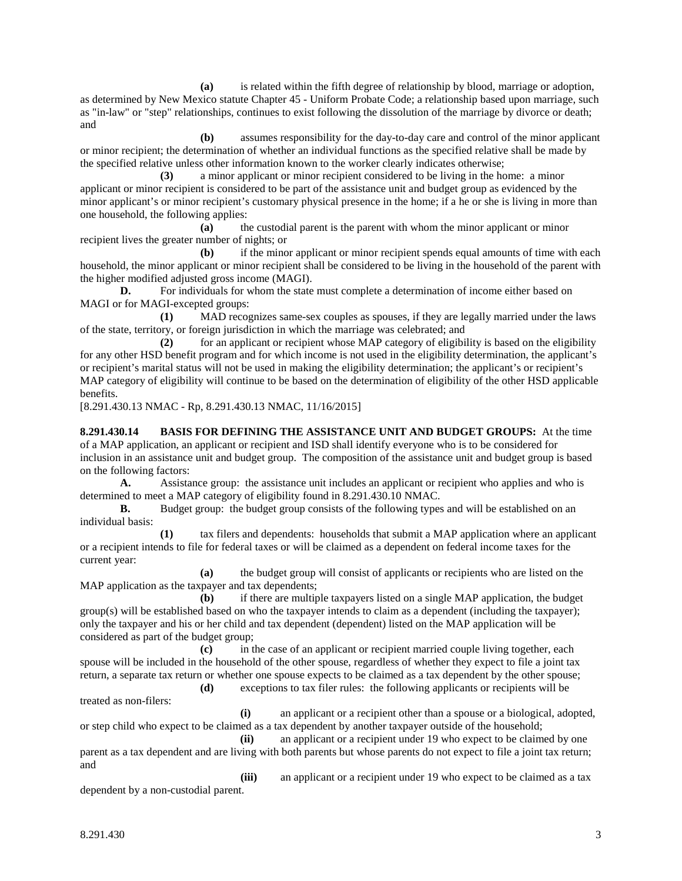**(a)** is related within the fifth degree of relationship by blood, marriage or adoption, as determined by New Mexico statute Chapter 45 - Uniform Probate Code; a relationship based upon marriage, such as "in-law" or "step" relationships, continues to exist following the dissolution of the marriage by divorce or death; and

**(b)** assumes responsibility for the day-to-day care and control of the minor applicant or minor recipient; the determination of whether an individual functions as the specified relative shall be made by the specified relative unless other information known to the worker clearly indicates otherwise;

**(3)** a minor applicant or minor recipient considered to be living in the home: a minor applicant or minor recipient is considered to be part of the assistance unit and budget group as evidenced by the minor applicant's or minor recipient's customary physical presence in the home; if a he or she is living in more than one household, the following applies:

**(a)** the custodial parent is the parent with whom the minor applicant or minor recipient lives the greater number of nights; or

**(b)** if the minor applicant or minor recipient spends equal amounts of time with each household, the minor applicant or minor recipient shall be considered to be living in the household of the parent with the higher modified adjusted gross income (MAGI).

**D.** For individuals for whom the state must complete a determination of income either based on MAGI or for MAGI-excepted groups:

**(1)** MAD recognizes same-sex couples as spouses, if they are legally married under the laws of the state, territory, or foreign jurisdiction in which the marriage was celebrated; and

**(2)** for an applicant or recipient whose MAP category of eligibility is based on the eligibility for any other HSD benefit program and for which income is not used in the eligibility determination, the applicant's or recipient's marital status will not be used in making the eligibility determination; the applicant's or recipient's MAP category of eligibility will continue to be based on the determination of eligibility of the other HSD applicable benefits.

[8.291.430.13 NMAC - Rp, 8.291.430.13 NMAC, 11/16/2015]

**8.291.430.14 BASIS FOR DEFINING THE ASSISTANCE UNIT AND BUDGET GROUPS:** At the time of a MAP application, an applicant or recipient and ISD shall identify everyone who is to be considered for inclusion in an assistance unit and budget group. The composition of the assistance unit and budget group is based on the following factors:

**A.** Assistance group: the assistance unit includes an applicant or recipient who applies and who is determined to meet a MAP category of eligibility found in 8.291.430.10 NMAC.

**B.** Budget group: the budget group consists of the following types and will be established on an individual basis:

**(1)** tax filers and dependents: households that submit a MAP application where an applicant or a recipient intends to file for federal taxes or will be claimed as a dependent on federal income taxes for the current year:

**(a)** the budget group will consist of applicants or recipients who are listed on the MAP application as the taxpayer and tax dependents;

**(b)** if there are multiple taxpayers listed on a single MAP application, the budget group(s) will be established based on who the taxpayer intends to claim as a dependent (including the taxpayer); only the taxpayer and his or her child and tax dependent (dependent) listed on the MAP application will be considered as part of the budget group;

**(c)** in the case of an applicant or recipient married couple living together, each spouse will be included in the household of the other spouse, regardless of whether they expect to file a joint tax return, a separate tax return or whether one spouse expects to be claimed as a tax dependent by the other spouse; **(d)** exceptions to tax filer rules: the following applicants or recipients will be

treated as non-filers:

**(i)** an applicant or a recipient other than a spouse or a biological, adopted,

or step child who expect to be claimed as a tax dependent by another taxpayer outside of the household;

**(ii)** an applicant or a recipient under 19 who expect to be claimed by one parent as a tax dependent and are living with both parents but whose parents do not expect to file a joint tax return; and

**(iii)** an applicant or a recipient under 19 who expect to be claimed as a tax dependent by a non-custodial parent.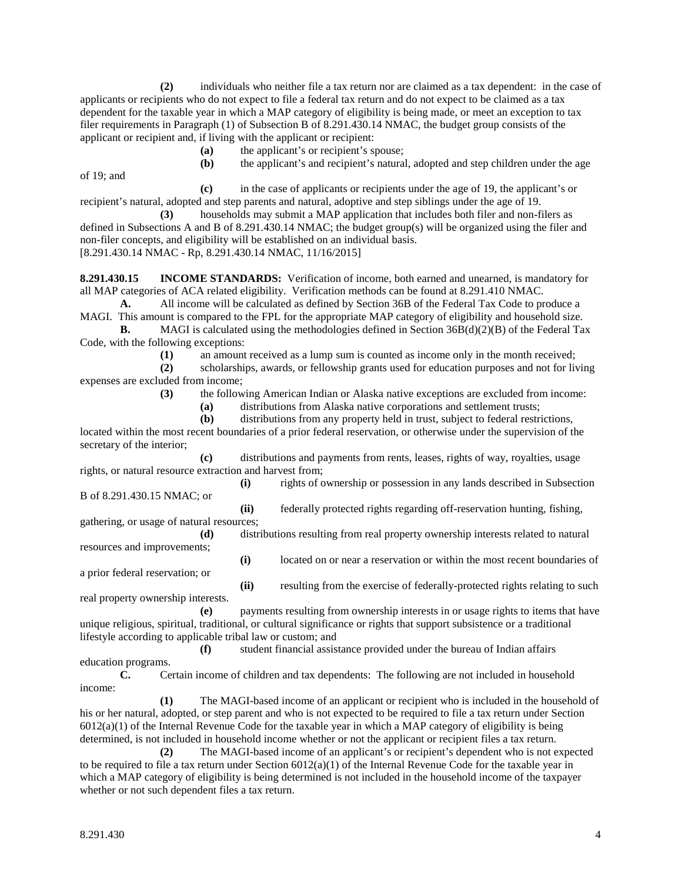**(2)** individuals who neither file a tax return nor are claimed as a tax dependent: in the case of applicants or recipients who do not expect to file a federal tax return and do not expect to be claimed as a tax dependent for the taxable year in which a MAP category of eligibility is being made, or meet an exception to tax filer requirements in Paragraph (1) of Subsection B of 8.291.430.14 NMAC, the budget group consists of the applicant or recipient and, if living with the applicant or recipient:

**(a)** the applicant's or recipient's spouse;

of 19; and

**(b)** the applicant's and recipient's natural, adopted and step children under the age

**(c)** in the case of applicants or recipients under the age of 19, the applicant's or recipient's natural, adopted and step parents and natural, adoptive and step siblings under the age of 19.

**(3)** households may submit a MAP application that includes both filer and non-filers as defined in Subsections A and B of 8.291.430.14 NMAC; the budget group(s) will be organized using the filer and non-filer concepts, and eligibility will be established on an individual basis. [8.291.430.14 NMAC - Rp, 8.291.430.14 NMAC, 11/16/2015]

**8.291.430.15 INCOME STANDARDS:** Verification of income, both earned and unearned, is mandatory for all MAP categories of ACA related eligibility. Verification methods can be found at 8.291.410 NMAC.

**A.** All income will be calculated as defined by Section 36B of the Federal Tax Code to produce a MAGI. This amount is compared to the FPL for the appropriate MAP category of eligibility and household size.

**B.** MAGI is calculated using the methodologies defined in Section 36B(d)(2)(B) of the Federal Tax Code, with the following exceptions:

(1) an amount received as a lump sum is counted as income only in the month received;<br>(2) scholarships, awards, or fellowship grants used for education purposes and not for liv

**(2)** scholarships, awards, or fellowship grants used for education purposes and not for living expenses are excluded from income;

**(3)** the following American Indian or Alaska native exceptions are excluded from income:

**(a)** distributions from Alaska native corporations and settlement trusts;

**(b)** distributions from any property held in trust, subject to federal restrictions, located within the most recent boundaries of a prior federal reservation, or otherwise under the supervision of the secretary of the interior;

**(c)** distributions and payments from rents, leases, rights of way, royalties, usage rights, or natural resource extraction and harvest from;

B of 8.291.430.15 NMAC; or

**(i)** rights of ownership or possession in any lands described in Subsection

**(ii)** federally protected rights regarding off-reservation hunting, fishing, gathering, or usage of natural resources;

**(d)** distributions resulting from real property ownership interests related to natural resources and improvements;

**(i)** located on or near a reservation or within the most recent boundaries of

a prior federal reservation; or

**(ii)** resulting from the exercise of federally-protected rights relating to such real property ownership interests.

**(e)** payments resulting from ownership interests in or usage rights to items that have unique religious, spiritual, traditional, or cultural significance or rights that support subsistence or a traditional lifestyle according to applicable tribal law or custom; and

**(f)** student financial assistance provided under the bureau of Indian affairs education programs.

**C.** Certain income of children and tax dependents: The following are not included in household income:

**(1)** The MAGI-based income of an applicant or recipient who is included in the household of his or her natural, adopted, or step parent and who is not expected to be required to file a tax return under Section  $6012(a)(1)$  of the Internal Revenue Code for the taxable year in which a MAP category of eligibility is being determined, is not included in household income whether or not the applicant or recipient files a tax return.

**(2)** The MAGI-based income of an applicant's or recipient's dependent who is not expected to be required to file a tax return under Section 6012(a)(1) of the Internal Revenue Code for the taxable year in which a MAP category of eligibility is being determined is not included in the household income of the taxpayer whether or not such dependent files a tax return.